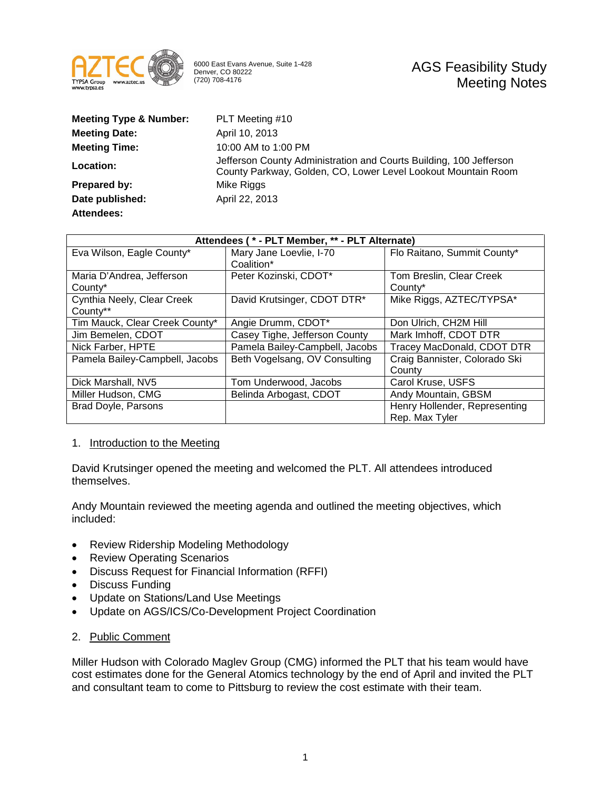

6000 East Evans Avenue, Suite 1-428 Denver, CO 80222 (720) 708-4176

| <b>Meeting Type &amp; Number:</b> | PLT Meeting #10                                                                                                                     |
|-----------------------------------|-------------------------------------------------------------------------------------------------------------------------------------|
| <b>Meeting Date:</b>              | April 10, 2013                                                                                                                      |
| <b>Meeting Time:</b>              | 10:00 AM to 1:00 PM                                                                                                                 |
| Location:                         | Jefferson County Administration and Courts Building, 100 Jefferson<br>County Parkway, Golden, CO, Lower Level Lookout Mountain Room |
| Prepared by:                      | Mike Riggs                                                                                                                          |
| Date published:                   | April 22, 2013                                                                                                                      |
| Attendees:                        |                                                                                                                                     |

| Attendees (* - PLT Member, ** - PLT Alternate) |                                |                               |  |
|------------------------------------------------|--------------------------------|-------------------------------|--|
| Eva Wilson, Eagle County*                      | Mary Jane Loevlie, I-70        | Flo Raitano, Summit County*   |  |
|                                                | Coalition*                     |                               |  |
| Maria D'Andrea, Jefferson                      | Peter Kozinski, CDOT*          | Tom Breslin, Clear Creek      |  |
| County*                                        |                                | County*                       |  |
| Cynthia Neely, Clear Creek                     | David Krutsinger, CDOT DTR*    | Mike Riggs, AZTEC/TYPSA*      |  |
| County**                                       |                                |                               |  |
| Tim Mauck, Clear Creek County*                 | Angie Drumm, CDOT*             | Don Ulrich, CH2M Hill         |  |
| Jim Bemelen, CDOT                              | Casey Tighe, Jefferson County  | Mark Imhoff, CDOT DTR         |  |
| Nick Farber, HPTE                              | Pamela Bailey-Campbell, Jacobs | Tracey MacDonald, CDOT DTR    |  |
| Pamela Bailey-Campbell, Jacobs                 | Beth Vogelsang, OV Consulting  | Craig Bannister, Colorado Ski |  |
|                                                |                                | County                        |  |
| Dick Marshall, NV5                             | Tom Underwood, Jacobs          | Carol Kruse, USFS             |  |
| Miller Hudson, CMG                             | Belinda Arbogast, CDOT         | Andy Mountain, GBSM           |  |
| Brad Doyle, Parsons                            |                                | Henry Hollender, Representing |  |
|                                                |                                | Rep. Max Tyler                |  |

### 1. Introduction to the Meeting

David Krutsinger opened the meeting and welcomed the PLT. All attendees introduced themselves.

Andy Mountain reviewed the meeting agenda and outlined the meeting objectives, which included:

- Review Ridership Modeling Methodology
- Review Operating Scenarios
- Discuss Request for Financial Information (RFFI)
- Discuss Funding
- Update on Stations/Land Use Meetings
- Update on AGS/ICS/Co-Development Project Coordination

### 2. Public Comment

Miller Hudson with Colorado Maglev Group (CMG) informed the PLT that his team would have cost estimates done for the General Atomics technology by the end of April and invited the PLT and consultant team to come to Pittsburg to review the cost estimate with their team.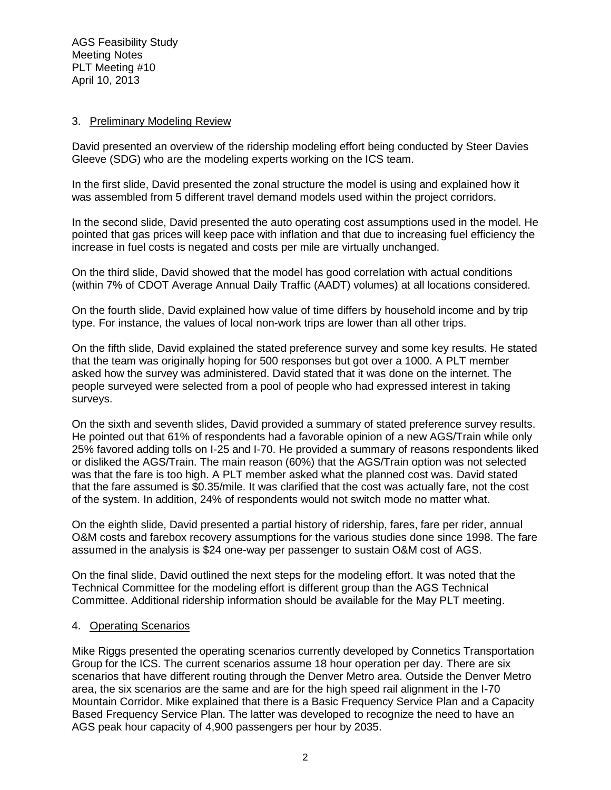## 3. Preliminary Modeling Review

David presented an overview of the ridership modeling effort being conducted by Steer Davies Gleeve (SDG) who are the modeling experts working on the ICS team.

In the first slide, David presented the zonal structure the model is using and explained how it was assembled from 5 different travel demand models used within the project corridors.

In the second slide, David presented the auto operating cost assumptions used in the model. He pointed that gas prices will keep pace with inflation and that due to increasing fuel efficiency the increase in fuel costs is negated and costs per mile are virtually unchanged.

On the third slide, David showed that the model has good correlation with actual conditions (within 7% of CDOT Average Annual Daily Traffic (AADT) volumes) at all locations considered.

On the fourth slide, David explained how value of time differs by household income and by trip type. For instance, the values of local non-work trips are lower than all other trips.

On the fifth slide, David explained the stated preference survey and some key results. He stated that the team was originally hoping for 500 responses but got over a 1000. A PLT member asked how the survey was administered. David stated that it was done on the internet. The people surveyed were selected from a pool of people who had expressed interest in taking surveys.

On the sixth and seventh slides, David provided a summary of stated preference survey results. He pointed out that 61% of respondents had a favorable opinion of a new AGS/Train while only 25% favored adding tolls on I-25 and I-70. He provided a summary of reasons respondents liked or disliked the AGS/Train. The main reason (60%) that the AGS/Train option was not selected was that the fare is too high. A PLT member asked what the planned cost was. David stated that the fare assumed is \$0.35/mile. It was clarified that the cost was actually fare, not the cost of the system. In addition, 24% of respondents would not switch mode no matter what.

On the eighth slide, David presented a partial history of ridership, fares, fare per rider, annual O&M costs and farebox recovery assumptions for the various studies done since 1998. The fare assumed in the analysis is \$24 one-way per passenger to sustain O&M cost of AGS.

On the final slide, David outlined the next steps for the modeling effort. It was noted that the Technical Committee for the modeling effort is different group than the AGS Technical Committee. Additional ridership information should be available for the May PLT meeting.

### 4. Operating Scenarios

Mike Riggs presented the operating scenarios currently developed by Connetics Transportation Group for the ICS. The current scenarios assume 18 hour operation per day. There are six scenarios that have different routing through the Denver Metro area. Outside the Denver Metro area, the six scenarios are the same and are for the high speed rail alignment in the I-70 Mountain Corridor. Mike explained that there is a Basic Frequency Service Plan and a Capacity Based Frequency Service Plan. The latter was developed to recognize the need to have an AGS peak hour capacity of 4,900 passengers per hour by 2035.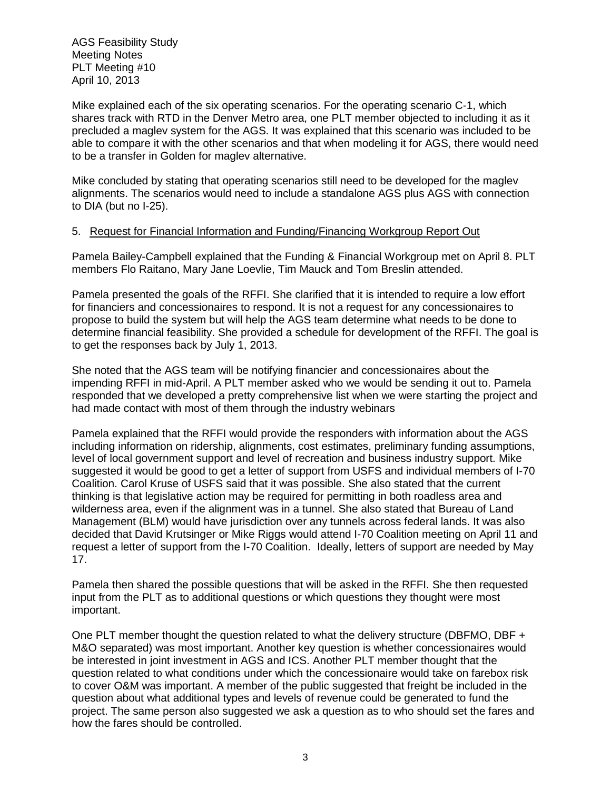AGS Feasibility Study Meeting Notes PLT Meeting #10 April 10, 2013

Mike explained each of the six operating scenarios. For the operating scenario C-1, which shares track with RTD in the Denver Metro area, one PLT member objected to including it as it precluded a maglev system for the AGS. It was explained that this scenario was included to be able to compare it with the other scenarios and that when modeling it for AGS, there would need to be a transfer in Golden for maglev alternative.

Mike concluded by stating that operating scenarios still need to be developed for the maglev alignments. The scenarios would need to include a standalone AGS plus AGS with connection to DIA (but no I-25).

# 5. Request for Financial Information and Funding/Financing Workgroup Report Out

Pamela Bailey-Campbell explained that the Funding & Financial Workgroup met on April 8. PLT members Flo Raitano, Mary Jane Loevlie, Tim Mauck and Tom Breslin attended.

Pamela presented the goals of the RFFI. She clarified that it is intended to require a low effort for financiers and concessionaires to respond. It is not a request for any concessionaires to propose to build the system but will help the AGS team determine what needs to be done to determine financial feasibility. She provided a schedule for development of the RFFI. The goal is to get the responses back by July 1, 2013.

She noted that the AGS team will be notifying financier and concessionaires about the impending RFFI in mid-April. A PLT member asked who we would be sending it out to. Pamela responded that we developed a pretty comprehensive list when we were starting the project and had made contact with most of them through the industry webinars

Pamela explained that the RFFI would provide the responders with information about the AGS including information on ridership, alignments, cost estimates, preliminary funding assumptions, level of local government support and level of recreation and business industry support. Mike suggested it would be good to get a letter of support from USFS and individual members of I-70 Coalition. Carol Kruse of USFS said that it was possible. She also stated that the current thinking is that legislative action may be required for permitting in both roadless area and wilderness area, even if the alignment was in a tunnel. She also stated that Bureau of Land Management (BLM) would have jurisdiction over any tunnels across federal lands. It was also decided that David Krutsinger or Mike Riggs would attend I-70 Coalition meeting on April 11 and request a letter of support from the I-70 Coalition. Ideally, letters of support are needed by May 17.

Pamela then shared the possible questions that will be asked in the RFFI. She then requested input from the PLT as to additional questions or which questions they thought were most important.

One PLT member thought the question related to what the delivery structure (DBFMO, DBF + M&O separated) was most important. Another key question is whether concessionaires would be interested in joint investment in AGS and ICS. Another PLT member thought that the question related to what conditions under which the concessionaire would take on farebox risk to cover O&M was important. A member of the public suggested that freight be included in the question about what additional types and levels of revenue could be generated to fund the project. The same person also suggested we ask a question as to who should set the fares and how the fares should be controlled.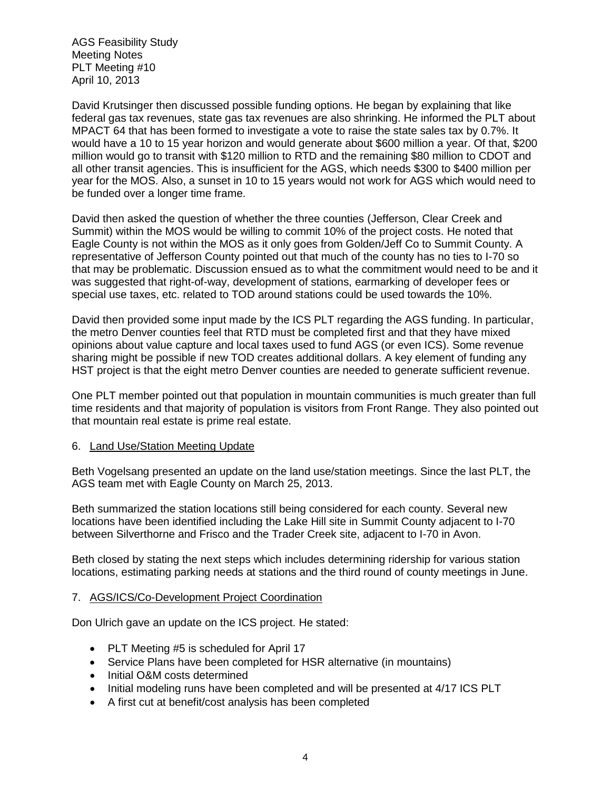AGS Feasibility Study Meeting Notes PLT Meeting #10 April 10, 2013

David Krutsinger then discussed possible funding options. He began by explaining that like federal gas tax revenues, state gas tax revenues are also shrinking. He informed the PLT about MPACT 64 that has been formed to investigate a vote to raise the state sales tax by 0.7%. It would have a 10 to 15 year horizon and would generate about \$600 million a year. Of that, \$200 million would go to transit with \$120 million to RTD and the remaining \$80 million to CDOT and all other transit agencies. This is insufficient for the AGS, which needs \$300 to \$400 million per year for the MOS. Also, a sunset in 10 to 15 years would not work for AGS which would need to be funded over a longer time frame.

David then asked the question of whether the three counties (Jefferson, Clear Creek and Summit) within the MOS would be willing to commit 10% of the project costs. He noted that Eagle County is not within the MOS as it only goes from Golden/Jeff Co to Summit County. A representative of Jefferson County pointed out that much of the county has no ties to I-70 so that may be problematic. Discussion ensued as to what the commitment would need to be and it was suggested that right-of-way, development of stations, earmarking of developer fees or special use taxes, etc. related to TOD around stations could be used towards the 10%.

David then provided some input made by the ICS PLT regarding the AGS funding. In particular, the metro Denver counties feel that RTD must be completed first and that they have mixed opinions about value capture and local taxes used to fund AGS (or even ICS). Some revenue sharing might be possible if new TOD creates additional dollars. A key element of funding any HST project is that the eight metro Denver counties are needed to generate sufficient revenue.

One PLT member pointed out that population in mountain communities is much greater than full time residents and that majority of population is visitors from Front Range. They also pointed out that mountain real estate is prime real estate.

### 6. Land Use/Station Meeting Update

Beth Vogelsang presented an update on the land use/station meetings. Since the last PLT, the AGS team met with Eagle County on March 25, 2013.

Beth summarized the station locations still being considered for each county. Several new locations have been identified including the Lake Hill site in Summit County adjacent to I-70 between Silverthorne and Frisco and the Trader Creek site, adjacent to I-70 in Avon.

Beth closed by stating the next steps which includes determining ridership for various station locations, estimating parking needs at stations and the third round of county meetings in June.

### 7. AGS/ICS/Co-Development Project Coordination

Don Ulrich gave an update on the ICS project. He stated:

- PLT Meeting #5 is scheduled for April 17
- Service Plans have been completed for HSR alternative (in mountains)
- Initial O&M costs determined
- Initial modeling runs have been completed and will be presented at 4/17 ICS PLT
- A first cut at benefit/cost analysis has been completed